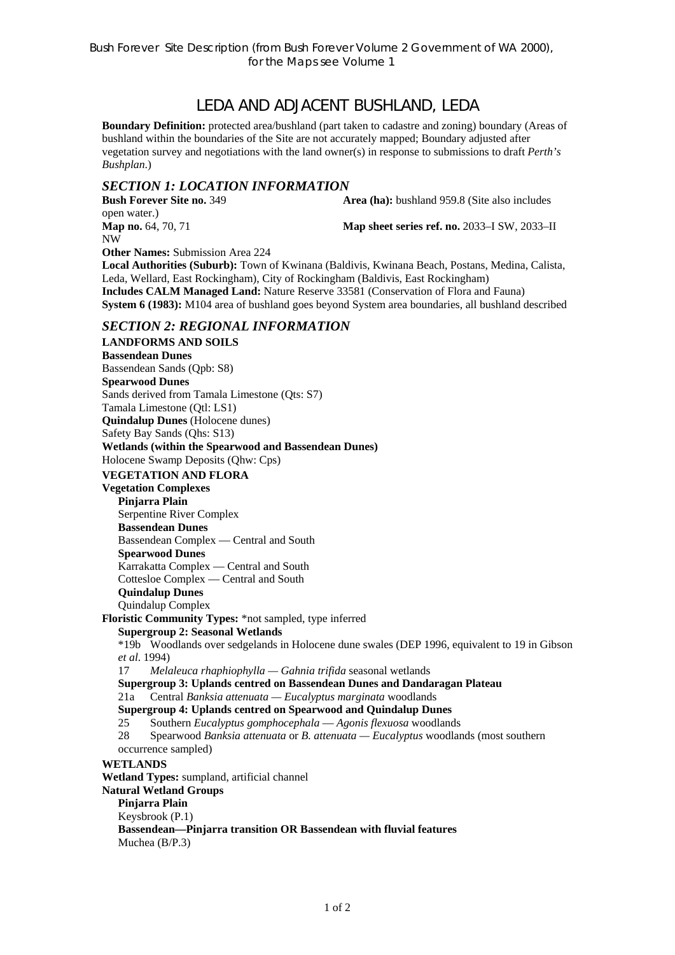# LEDA AND ADJACENT BUSHLAND, LEDA

**Boundary Definition:** protected area/bushland (part taken to cadastre and zoning) boundary (Areas of bushland within the boundaries of the Site are not accurately mapped; Boundary adjusted after vegetation survey and negotiations with the land owner(s) in response to submissions to draft *Perth's Bushplan*.)

### *SECTION 1: LOCATION INFORMATION*

**Bush Forever Site no. 349 <b>Area (ha):** bushland 959.8 (Site also includes open water.) **Map no.** 64, 70, 71 **Map sheet series ref. no.** 2033–I SW, 2033–II NW

**Other Names:** Submission Area 224

**Local Authorities (Suburb):** Town of Kwinana (Baldivis, Kwinana Beach, Postans, Medina, Calista, Leda, Wellard, East Rockingham), City of Rockingham (Baldivis, East Rockingham) **Includes CALM Managed Land:** Nature Reserve 33581 (Conservation of Flora and Fauna) **System 6 (1983):** M104 area of bushland goes beyond System area boundaries, all bushland described

### *SECTION 2: REGIONAL INFORMATION*

**LANDFORMS AND SOILS Bassendean Dunes**  Bassendean Sands (Qpb: S8) **Spearwood Dunes** Sands derived from Tamala Limestone (Qts: S7) Tamala Limestone (Qtl: LS1) **Quindalup Dunes** (Holocene dunes) Safety Bay Sands (Qhs: S13) **Wetlands (within the Spearwood and Bassendean Dunes)**  Holocene Swamp Deposits (Qhw: Cps) **VEGETATION AND FLORA Vegetation Complexes Pinjarra Plain**  Serpentine River Complex **Bassendean Dunes**  Bassendean Complex — Central and South **Spearwood Dunes**  Karrakatta Complex — Central and South Cottesloe Complex — Central and South **Quindalup Dunes**  Quindalup Complex **Floristic Community Types:** \*not sampled, type inferred **Supergroup 2: Seasonal Wetlands** \*19b Woodlands over sedgelands in Holocene dune swales (DEP 1996, equivalent to 19 in Gibson *et al*. 1994) 17 *Melaleuca rhaphiophylla — Gahnia trifida* seasonal wetlands **Supergroup 3: Uplands centred on Bassendean Dunes and Dandaragan Plateau**  21a Central *Banksia attenuata — Eucalyptus marginata* woodlands **Supergroup 4: Uplands centred on Spearwood and Quindalup Dunes**  25 Southern *Eucalyptus gomphocephala* — *Agonis flexuosa* woodlands 28 Spearwood *Banksia attenuata* or *B. attenuata — Eucalyptus* woodlands (most southern occurrence sampled) **WETLANDS Wetland Types:** sumpland, artificial channel **Natural Wetland Groups Pinjarra Plain**  Keysbrook (P.1) **Bassendean—Pinjarra transition OR Bassendean with fluvial features**  Muchea (B/P.3)